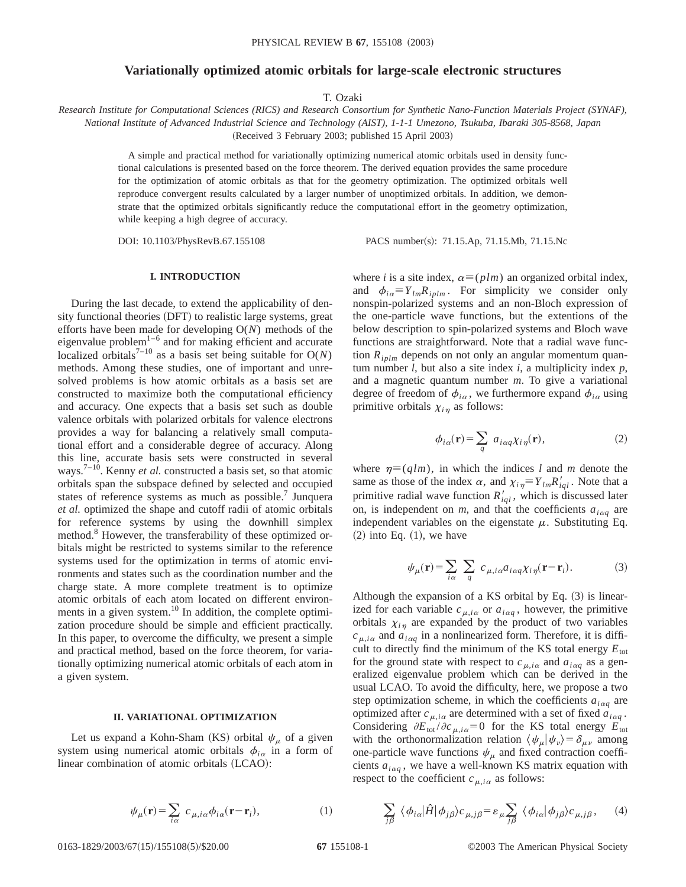## **Variationally optimized atomic orbitals for large-scale electronic structures**

T. Ozaki

*Research Institute for Computational Sciences (RICS) and Research Consortium for Synthetic Nano-Function Materials Project (SYNAF), National Institute of Advanced Industrial Science and Technology (AIST), 1-1-1 Umezono, Tsukuba, Ibaraki 305-8568, Japan* (Received 3 February 2003; published 15 April 2003)

> A simple and practical method for variationally optimizing numerical atomic orbitals used in density functional calculations is presented based on the force theorem. The derived equation provides the same procedure for the optimization of atomic orbitals as that for the geometry optimization. The optimized orbitals well reproduce convergent results calculated by a larger number of unoptimized orbitals. In addition, we demonstrate that the optimized orbitals significantly reduce the computational effort in the geometry optimization, while keeping a high degree of accuracy.

DOI: 10.1103/PhysRevB.67.155108 PACS number(s): 71.15.Ap, 71.15.Mb, 71.15.Nc

# **I. INTRODUCTION**

During the last decade, to extend the applicability of density functional theories (DFT) to realistic large systems, great efforts have been made for developing O(*N*) methods of the eigenvalue problem $1-6$  and for making efficient and accurate localized orbitals<sup>7-10</sup> as a basis set being suitable for  $O(N)$ methods. Among these studies, one of important and unresolved problems is how atomic orbitals as a basis set are constructed to maximize both the computational efficiency and accuracy. One expects that a basis set such as double valence orbitals with polarized orbitals for valence electrons provides a way for balancing a relatively small computational effort and a considerable degree of accuracy. Along this line, accurate basis sets were constructed in several ways.<sup>7–10</sup>. Kenny *et al.* constructed a basis set, so that atomic orbitals span the subspace defined by selected and occupied states of reference systems as much as possible.<sup>7</sup> Junquera *et al.* optimized the shape and cutoff radii of atomic orbitals for reference systems by using the downhill simplex method.<sup>8</sup> However, the transferability of these optimized orbitals might be restricted to systems similar to the reference systems used for the optimization in terms of atomic environments and states such as the coordination number and the charge state. A more complete treatment is to optimize atomic orbitals of each atom located on different environments in a given system. $10^{\circ}$  In addition, the complete optimization procedure should be simple and efficient practically. In this paper, to overcome the difficulty, we present a simple and practical method, based on the force theorem, for variationally optimizing numerical atomic orbitals of each atom in a given system.

#### **II. VARIATIONAL OPTIMIZATION**

Let us expand a Kohn-Sham (KS) orbital  $\psi_{\mu}$  of a given system using numerical atomic orbitals  $\phi_{i\alpha}$  in a form of linear combination of atomic orbitals (LCAO):

$$
\psi_{\mu}(\mathbf{r}) = \sum_{i\alpha} c_{\mu,i\alpha} \phi_{i\alpha}(\mathbf{r} - \mathbf{r}_i),
$$
 (1)

where *i* is a site index,  $\alpha \equiv (plm)$  an organized orbital index, and  $\phi_{i\alpha} \equiv Y_{lm} R_{iplm}$ . For simplicity we consider only nonspin-polarized systems and an non-Bloch expression of the one-particle wave functions, but the extentions of the below description to spin-polarized systems and Bloch wave functions are straightforward. Note that a radial wave function *Riplm* depends on not only an angular momentum quantum number *l*, but also a site index *i*, a multiplicity index *p*, and a magnetic quantum number *m*. To give a variational degree of freedom of  $\phi_{i\alpha}$ , we furthermore expand  $\phi_{i\alpha}$  using primitive orbitals  $\chi_{i,n}$  as follows:

$$
\phi_{i\alpha}(\mathbf{r}) = \sum_{q} a_{i\alpha q} \chi_{i\eta}(\mathbf{r}),\tag{2}
$$

where  $\eta \equiv (q/m)$ , in which the indices *l* and *m* denote the same as those of the index  $\alpha$ , and  $\chi_{i\eta} = Y_{lm}R'_{iql}$ . Note that a primitive radial wave function  $R'_{iql}$ , which is discussed later on, is independent on  $m$ , and that the coefficients  $a_{i\alpha q}$  are independent variables on the eigenstate  $\mu$ . Substituting Eq.  $(2)$  into Eq.  $(1)$ , we have

$$
\psi_{\mu}(\mathbf{r}) = \sum_{i\alpha} \sum_{q} c_{\mu,i\alpha} a_{i\alpha q} \chi_{i\eta}(\mathbf{r} - \mathbf{r}_i).
$$
 (3)

Although the expansion of a KS orbital by Eq.  $(3)$  is linearized for each variable  $c_{\mu,i\alpha}$  or  $a_{i\alpha q}$ , however, the primitive orbitals  $\chi_{i\eta}$  are expanded by the product of two variables  $c_{\mu,i\alpha}$  and  $a_{i\alpha\alpha}$  in a nonlinearized form. Therefore, it is difficult to directly find the minimum of the KS total energy  $E_{\text{tot}}$ for the ground state with respect to  $c_{\mu,i\alpha}$  and  $a_{i\alpha q}$  as a generalized eigenvalue problem which can be derived in the usual LCAO. To avoid the difficulty, here, we propose a two step optimization scheme, in which the coefficients  $a_{i\alpha q}$  are optimized after  $c_{\mu,i\alpha}$  are determined with a set of fixed  $\vec{a}_{i\alpha q}$ . Considering  $\partial E_{\text{tot}} / \partial c_{\mu,i\alpha} = 0$  for the KS total energy  $E_{\text{tot}}$ with the orthonormalization relation  $\langle \psi_{\mu} | \psi_{\nu} \rangle = \delta_{\mu\nu}$  among one-particle wave functions  $\psi_{\mu}$  and fixed contraction coefficients  $a_{i\alpha q}$ , we have a well-known KS matrix equation with respect to the coefficient  $c_{\mu,i\alpha}$  as follows:

$$
\sum_{j\beta} \langle \phi_{i\alpha} | \hat{H} | \phi_{j\beta} \rangle c_{\mu,j\beta} = \varepsilon_{\mu} \sum_{j\beta} \langle \phi_{i\alpha} | \phi_{j\beta} \rangle c_{\mu,j\beta}, \quad (4)
$$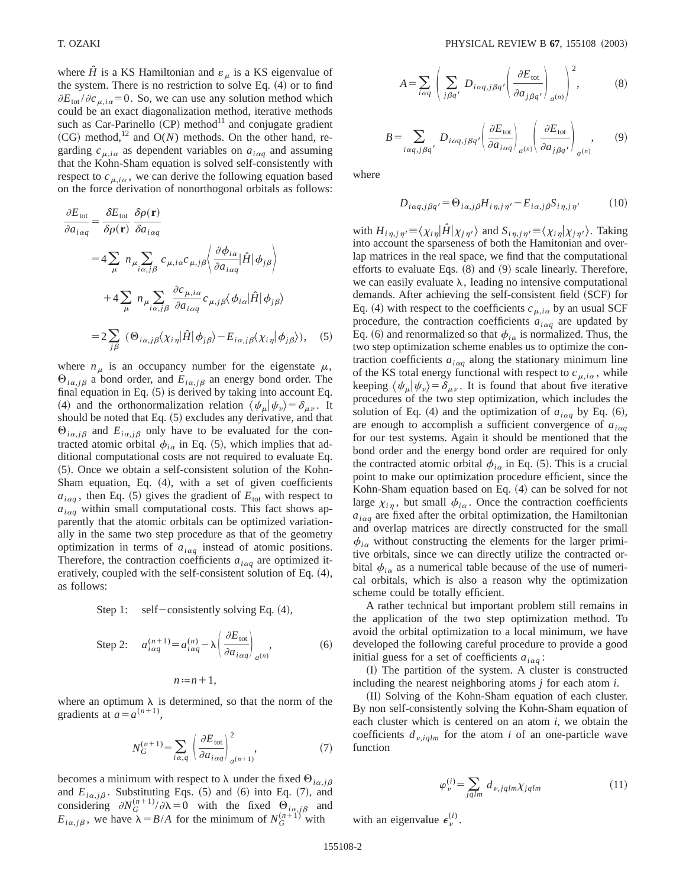where  $\hat{H}$  is a KS Hamiltonian and  $\varepsilon_{\mu}$  is a KS eigenvalue of the system. There is no restriction to solve Eq.  $(4)$  or to find  $\partial E_{\text{tot}}/\partial c_{\mu,i\alpha}$ =0. So, we can use any solution method which could be an exact diagonalization method, iterative methods such as Car-Parinello  $(CP)$  method<sup>11</sup> and conjugate gradient  $(CG)$  method,<sup>12</sup> and  $O(N)$  methods. On the other hand, regarding  $c_{\mu,i\alpha}$  as dependent variables on  $a_{i\alpha q}$  and assuming that the Kohn-Sham equation is solved self-consistently with respect to  $c_{\mu i\alpha}$ , we can derive the following equation based on the force derivation of nonorthogonal orbitals as follows:

$$
\frac{\partial E_{\text{tot}}}{\partial a_{i\alpha q}} = \frac{\partial E_{\text{tot}}}{\partial \rho(\mathbf{r})} \frac{\partial \rho(\mathbf{r})}{\partial a_{i\alpha q}}
$$
  
\n
$$
= 4 \sum_{\mu} n_{\mu} \sum_{i\alpha,j\beta} c_{\mu,i\alpha} c_{\mu,j\beta} \left\langle \frac{\partial \phi_{i\alpha}}{\partial a_{i\alpha q}} | \hat{H} | \phi_{j\beta} \right\rangle
$$
  
\n
$$
+ 4 \sum_{\mu} n_{\mu} \sum_{i\alpha,j\beta} \frac{\partial c_{\mu,i\alpha}}{\partial a_{i\alpha q}} c_{\mu,j\beta} \langle \phi_{i\alpha} | \hat{H} | \phi_{j\beta} \rangle
$$
  
\n
$$
= 2 \sum_{j\beta} (\Theta_{i\alpha,j\beta} \langle \chi_{i\eta} | \hat{H} | \phi_{j\beta} \rangle - E_{i\alpha,j\beta} \langle \chi_{i\eta} | \phi_{j\beta} \rangle), \quad (5)
$$

where  $n_{\mu}$  is an occupancy number for the eigenstate  $\mu$ ,  $\Theta_{i\alpha, j\beta}$  a bond order, and  $E_{i\alpha, j\beta}$  an energy bond order. The final equation in Eq.  $(5)$  is derived by taking into account Eq. (4) and the orthonormalization relation  $\langle \psi_{\mu} | \psi_{\nu} \rangle = \delta_{\mu\nu}$ . It should be noted that Eq.  $(5)$  excludes any derivative, and that  $\Theta_{i\alpha, j\beta}$  and  $E_{i\alpha, j\beta}$  only have to be evaluated for the contracted atomic orbital  $\phi_{i\alpha}$  in Eq. (5), which implies that additional computational costs are not required to evaluate Eq. ~5!. Once we obtain a self-consistent solution of the Kohn-Sham equation, Eq.  $(4)$ , with a set of given coefficients  $a_{i\alpha q}$ , then Eq. (5) gives the gradient of  $E_{\text{tot}}$  with respect to  $a_{i\alpha q}$  within small computational costs. This fact shows apparently that the atomic orbitals can be optimized variationally in the same two step procedure as that of the geometry optimization in terms of *ai*a*<sup>q</sup>* instead of atomic positions. Therefore, the contraction coefficients  $a_{i\alpha q}$  are optimized iteratively, coupled with the self-consistent solution of Eq.  $(4)$ , as follows:

Step 1: self-consistently solving Eq. 
$$
(4)
$$
,

Step 2: 
$$
a_{i\alpha q}^{(n+1)} = a_{i\alpha q}^{(n)} - \lambda \left(\frac{\partial E_{\text{tot}}}{\partial a_{i\alpha q}}\right)_{a^{(n)}},
$$
 (6)

$$
n:=n+1,
$$

where an optimum  $\lambda$  is determined, so that the norm of the gradients at  $a=a^{(n+1)}$ ,

$$
N_G^{(n+1)} = \sum_{i\alpha,q} \left(\frac{\partial E_{\text{tot}}}{\partial a_{i\alpha q}}\right)_{a^{(n+1)}}^2,\tag{7}
$$

becomes a minimum with respect to  $\lambda$  under the fixed  $\Theta_{i\alpha, i\beta}$ and  $E_{i\alpha, j\beta}$ . Substituting Eqs. (5) and (6) into Eq. (7), and considering  $\partial N_G^{(n+1)}/\partial \lambda = 0$  with the fixed  $\Theta_{i\alpha, j\beta}$  and  $E_{i\alpha, j\beta}$ , we have  $\lambda = B/A$  for the minimum of  $N_G^{(n+1)}$  with

$$
A = \sum_{i\alpha q} \left( \sum_{j\beta q'} D_{i\alpha q, j\beta q'} \left( \frac{\partial E_{\text{tot}}}{\partial a_{j\beta q'}} \right)_{q^{(n)}} \right)^2, \tag{8}
$$

$$
B = \sum_{i \alpha q, j \beta q'} D_{i \alpha q, j \beta q'} \left( \frac{\partial E_{\text{tot}}}{\partial a_{i \alpha q}} \right)_{a^{(n)}} \left( \frac{\partial E_{\text{tot}}}{\partial a_{j \beta q'}} \right)_{a^{(n)}}, \qquad (9)
$$

where

$$
D_{i\alpha q,j\beta q'} = \Theta_{i\alpha,j\beta} H_{i\eta,j\eta'} - E_{i\alpha,j\beta} S_{i\eta,j\eta'} \tag{10}
$$

with  $H_{i\eta, j\eta'} \equiv \langle \chi_{i\eta} | \hat{H} | \chi_{j\eta'} \rangle$  and  $S_{i\eta, j\eta'} \equiv \langle \chi_{i\eta} | \chi_{j\eta'} \rangle$ . Taking into account the sparseness of both the Hamitonian and overlap matrices in the real space, we find that the computational efforts to evaluate Eqs.  $(8)$  and  $(9)$  scale linearly. Therefore, we can easily evaluate  $\lambda$ , leading no intensive computational demands. After achieving the self-consistent field (SCF) for Eq. (4) with respect to the coefficients  $c_{\mu,i\alpha}$  by an usual SCF procedure, the contraction coefficients  $a_{i\alpha q}$  are updated by Eq. (6) and renormalized so that  $\phi_{i\alpha}$  is normalized. Thus, the two step optimization scheme enables us to optimize the contraction coefficients  $a_{i\alpha q}$  along the stationary minimum line of the KS total energy functional with respect to  $c_{\mu,i\alpha}$ , while keeping  $\langle \psi_{\mu} | \psi_{\nu} \rangle = \delta_{\mu\nu}$ . It is found that about five iterative procedures of the two step optimization, which includes the solution of Eq. (4) and the optimization of  $a_{i\alpha q}$  by Eq. (6), are enough to accomplish a sufficient convergence of  $a_{i\alpha q}$ for our test systems. Again it should be mentioned that the bond order and the energy bond order are required for only the contracted atomic orbital  $\phi_{i\alpha}$  in Eq. (5). This is a crucial point to make our optimization procedure efficient, since the Kohn-Sham equation based on Eq.  $(4)$  can be solved for not large  $\chi_{i\eta}$ , but small  $\phi_{i\alpha}$ . Once the contraction coefficients  $a_{i\alpha q}$  are fixed after the orbital optimization, the Hamiltonian and overlap matrices are directly constructed for the small  $\phi_{i\alpha}$  without constructing the elements for the larger primitive orbitals, since we can directly utilize the contracted orbital  $\phi_{i\alpha}$  as a numerical table because of the use of numerical orbitals, which is also a reason why the optimization scheme could be totally efficient.

A rather technical but important problem still remains in the application of the two step optimization method. To avoid the orbital optimization to a local minimum, we have developed the following careful procedure to provide a good initial guess for a set of coefficients  $a_{i\alpha q}$ :

~I! The partition of the system. A cluster is constructed including the nearest neighboring atoms *j* for each atom *i*.

(II) Solving of the Kohn-Sham equation of each cluster. By non self-consistently solving the Kohn-Sham equation of each cluster which is centered on an atom *i*, we obtain the coefficients  $d_{v,ialm}$  for the atom *i* of an one-particle wave function

$$
\varphi_{\nu}^{(i)} = \sum_{j q l m} d_{\nu, j q l m} \chi_{j q l m} \tag{11}
$$

with an eigenvalue  $\epsilon_{\nu}^{(i)}$ .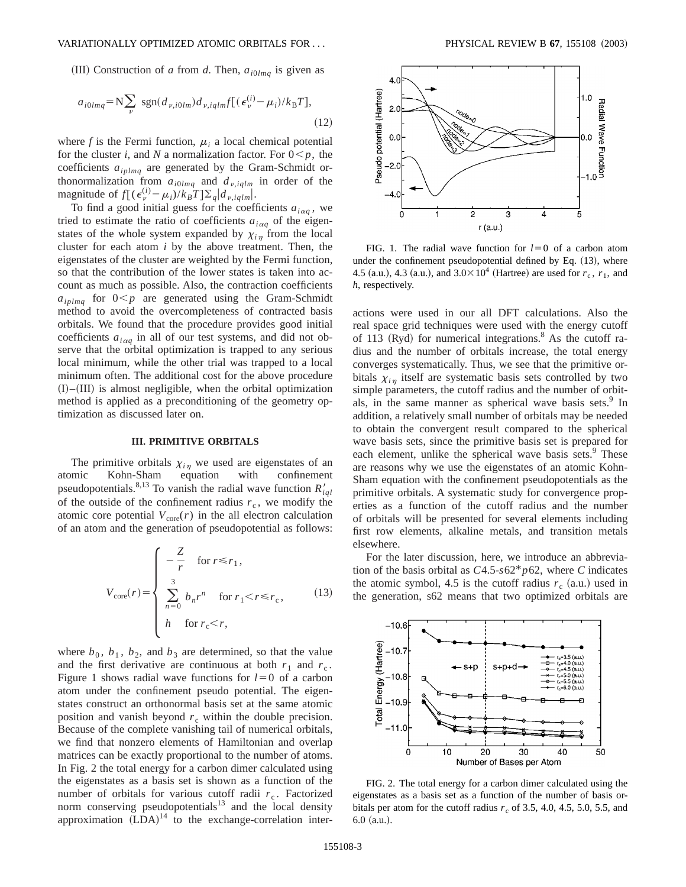#### VARIATIONALLY OPTIMIZED ATOMIC ORBITALS FOR . . . PHYSICAL REVIEW B **67**, 155108 ~2003!

(III) Construction of *a* from *d*. Then,  $a_{i0lmq}$  is given as

$$
a_{i0lmq} = N \sum_{\nu} sgn(d_{\nu,i0lm}) d_{\nu,iqlm} f[(\epsilon_{\nu}^{(i)} - \mu_i)/k_B T],
$$
\n(12)

where  $f$  is the Fermi function,  $\mu_i$  a local chemical potential for the cluster *i*, and *N* a normalization factor. For  $0 \leq p$ , the coefficients *aiplmq* are generated by the Gram-Schmidt orthonormalization from  $a_{i0lmq}$  and  $d_{v,iqlm}$  in order of the magnitude of  $f[(\epsilon_{\nu}^{(i)} - \mu_i)/k_B T] \Sigma_q | d_{\nu, iq/m}|.$ 

To find a good initial guess for the coefficients  $a_{i\alpha q}$ , we tried to estimate the ratio of coefficients  $a_{i\alpha q}$  of the eigenstates of the whole system expanded by  $\chi_{i\eta}$  from the local cluster for each atom *i* by the above treatment. Then, the eigenstates of the cluster are weighted by the Fermi function, so that the contribution of the lower states is taken into account as much as possible. Also, the contraction coefficients  $a_{iplmq}$  for  $0 < p$  are generated using the Gram-Schmidt method to avoid the overcompleteness of contracted basis orbitals. We found that the procedure provides good initial coefficients  $a_{i\alpha q}$  in all of our test systems, and did not observe that the orbital optimization is trapped to any serious local minimum, while the other trial was trapped to a local minimum often. The additional cost for the above procedure  $(I)$ – $(III)$  is almost negligible, when the orbital optimization method is applied as a preconditioning of the geometry optimization as discussed later on.

### **III. PRIMITIVE ORBITALS**

The primitive orbitals  $\chi_{i\eta}$  we used are eigenstates of an atomic Kohn-Sham equation with confinement pseudopotentials.<sup>8,13</sup> To vanish the radial wave function  $R'_{ial}$ of the outside of the confinement radius  $r_c$ , we modify the atomic core potential  $V_{\text{core}}(r)$  in the all electron calculation of an atom and the generation of pseudopotential as follows:

$$
V_{\text{core}}(r) = \begin{cases} -\frac{Z}{r} & \text{for } r \le r_1, \\ 3 & \text{for } r_1 < r \le r_c, \\ h & \text{for } r_c < r, \end{cases} \tag{13}
$$

where  $b_0$ ,  $b_1$ ,  $b_2$ , and  $b_3$  are determined, so that the value and the first derivative are continuous at both  $r_1$  and  $r_c$ . Figure 1 shows radial wave functions for  $l=0$  of a carbon atom under the confinement pseudo potential. The eigenstates construct an orthonormal basis set at the same atomic position and vanish beyond  $r_c$  within the double precision. Because of the complete vanishing tail of numerical orbitals, we find that nonzero elements of Hamiltonian and overlap matrices can be exactly proportional to the number of atoms. In Fig. 2 the total energy for a carbon dimer calculated using the eigenstates as a basis set is shown as a function of the number of orbitals for various cutoff radii  $r_c$ . Factorized norm conserving pseudopotentials<sup>13</sup> and the local density approximation  $(LDA)^{14}$  to the exchange-correlation inter-



FIG. 1. The radial wave function for  $l=0$  of a carbon atom under the confinement pseudopotential defined by Eq.  $(13)$ , where 4.5 (a.u.), 4.3 (a.u.), and  $3.0 \times 10^4$  (Hartree) are used for  $r_c$ ,  $r_1$ , and *h*, respectively.

actions were used in our all DFT calculations. Also the real space grid techniques were used with the energy cutoff of 113  $(Ryd)$  for numerical integrations.<sup>8</sup> As the cutoff radius and the number of orbitals increase, the total energy converges systematically. Thus, we see that the primitive orbitals  $\chi_{in}$  itself are systematic basis sets controlled by two simple parameters, the cutoff radius and the number of orbitals, in the same manner as spherical wave basis sets.<sup>9</sup> In addition, a relatively small number of orbitals may be needed to obtain the convergent result compared to the spherical wave basis sets, since the primitive basis set is prepared for each element, unlike the spherical wave basis sets.<sup>9</sup> These are reasons why we use the eigenstates of an atomic Kohn-Sham equation with the confinement pseudopotentials as the primitive orbitals. A systematic study for convergence properties as a function of the cutoff radius and the number of orbitals will be presented for several elements including first row elements, alkaline metals, and transition metals elsewhere.

For the later discussion, here, we introduce an abbreviation of the basis orbital as *C*4.5-*s*62\**p*62, where *C* indicates the atomic symbol, 4.5 is the cutoff radius  $r_c$  (a.u.) used in the generation, s62 means that two optimized orbitals are



FIG. 2. The total energy for a carbon dimer calculated using the eigenstates as a basis set as a function of the number of basis orbitals per atom for the cutoff radius  $r_c$  of 3.5, 4.0, 4.5, 5.0, 5.5, and  $6.0$   $(a.u.).$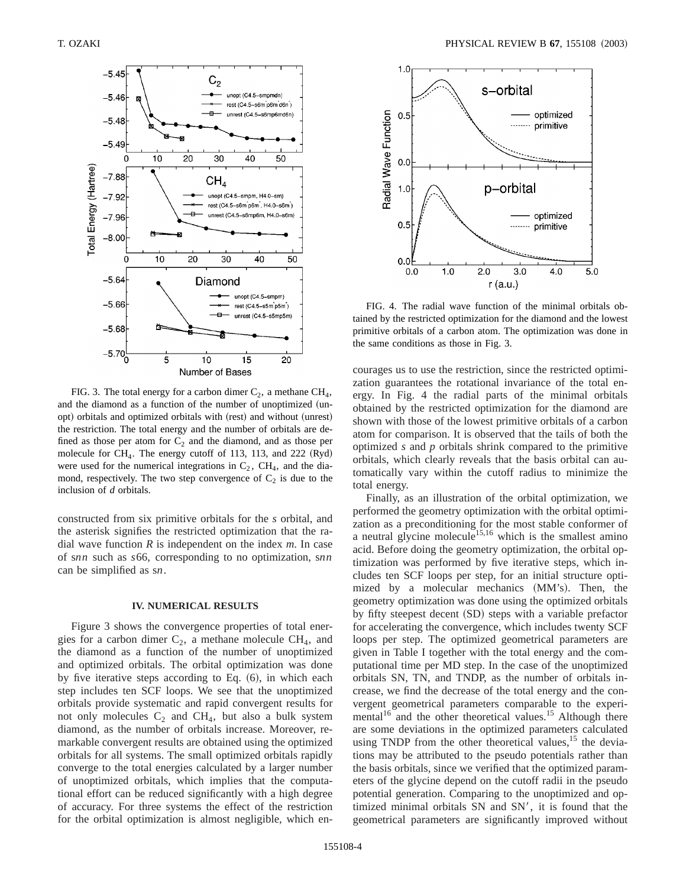

FIG. 3. The total energy for a carbon dimer  $C_2$ , a methane  $CH_4$ , and the diamond as a function of the number of unoptimized (unopt) orbitals and optimized orbitals with (rest) and without (unrest) the restriction. The total energy and the number of orbitals are defined as those per atom for  $C_2$  and the diamond, and as those per molecule for  $CH_4$ . The energy cutoff of 113, 113, and 222 (Ryd) were used for the numerical integrations in  $C_2$ ,  $CH_4$ , and the diamond, respectively. The two step convergence of  $C_2$  is due to the inclusion of *d* orbitals.

constructed from six primitive orbitals for the *s* orbital, and the asterisk signifies the restricted optimization that the radial wave function *R* is independent on the index *m*. In case of s*nn* such as *s*66, corresponding to no optimization, s*nn* can be simplified as s*n*.

#### **IV. NUMERICAL RESULTS**

Figure 3 shows the convergence properties of total energies for a carbon dimer  $C_2$ , a methane molecule CH<sub>4</sub>, and the diamond as a function of the number of unoptimized and optimized orbitals. The orbital optimization was done by five iterative steps according to Eq.  $(6)$ , in which each step includes ten SCF loops. We see that the unoptimized orbitals provide systematic and rapid convergent results for not only molecules  $C_2$  and  $CH_4$ , but also a bulk system diamond, as the number of orbitals increase. Moreover, remarkable convergent results are obtained using the optimized orbitals for all systems. The small optimized orbitals rapidly converge to the total energies calculated by a larger number of unoptimized orbitals, which implies that the computational effort can be reduced significantly with a high degree of accuracy. For three systems the effect of the restriction for the orbital optimization is almost negligible, which en-



FIG. 4. The radial wave function of the minimal orbitals obtained by the restricted optimization for the diamond and the lowest primitive orbitals of a carbon atom. The optimization was done in the same conditions as those in Fig. 3.

courages us to use the restriction, since the restricted optimization guarantees the rotational invariance of the total energy. In Fig. 4 the radial parts of the minimal orbitals obtained by the restricted optimization for the diamond are shown with those of the lowest primitive orbitals of a carbon atom for comparison. It is observed that the tails of both the optimized *s* and *p* orbitals shrink compared to the primitive orbitals, which clearly reveals that the basis orbital can automatically vary within the cutoff radius to minimize the total energy.

Finally, as an illustration of the orbital optimization, we performed the geometry optimization with the orbital optimization as a preconditioning for the most stable conformer of a neutral glycine molecule<sup>15,16</sup> which is the smallest amino acid. Before doing the geometry optimization, the orbital optimization was performed by five iterative steps, which includes ten SCF loops per step, for an initial structure optimized by a molecular mechanics  $(MM's)$ . Then, the geometry optimization was done using the optimized orbitals by fifty steepest decent (SD) steps with a variable prefactor for accelerating the convergence, which includes twenty SCF loops per step. The optimized geometrical parameters are given in Table I together with the total energy and the computational time per MD step. In the case of the unoptimized orbitals SN, TN, and TNDP, as the number of orbitals increase, we find the decrease of the total energy and the convergent geometrical parameters comparable to the experimental $16$  and the other theoretical values.<sup>15</sup> Although there are some deviations in the optimized parameters calculated using TNDP from the other theoretical values, $15$  the deviations may be attributed to the pseudo potentials rather than the basis orbitals, since we verified that the optimized parameters of the glycine depend on the cutoff radii in the pseudo potential generation. Comparing to the unoptimized and optimized minimal orbitals SN and SN', it is found that the geometrical parameters are significantly improved without